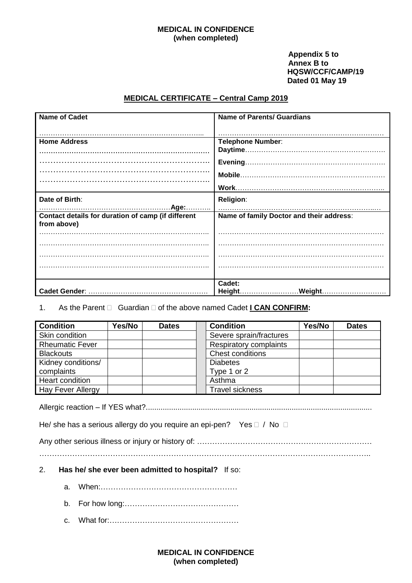#### **MEDICAL IN CONFIDENCE (when completed)**

#### **Appendix 5 to Annex B to HQSW/CCF/CAMP/19 Dated 01 May 19**

## **MEDICAL CERTIFICATE – Central Camp 2019**

| <b>Name of Cadet</b>                                              | <b>Name of Parents/ Guardians</b>        |
|-------------------------------------------------------------------|------------------------------------------|
|                                                                   |                                          |
| <b>Home Address</b>                                               | <b>Telephone Number:</b>                 |
|                                                                   |                                          |
|                                                                   |                                          |
|                                                                   |                                          |
|                                                                   |                                          |
|                                                                   |                                          |
|                                                                   |                                          |
| Date of Birth:                                                    | <b>Religion:</b>                         |
|                                                                   |                                          |
| Contact details for duration of camp (if different<br>from above) | Name of family Doctor and their address: |
|                                                                   |                                          |
|                                                                   |                                          |
|                                                                   |                                          |
|                                                                   |                                          |
|                                                                   |                                          |
|                                                                   | Cadet:                                   |
|                                                                   | Height.<br>Weight                        |

## 1. As the Parent  $\Box$  Guardian  $\Box$  of the above named Cadet **I CAN CONFIRM:**

| <b>Condition</b>       | Yes/No | <b>Dates</b> | <b>Condition</b>        | Yes/No | <b>Dates</b> |
|------------------------|--------|--------------|-------------------------|--------|--------------|
| Skin condition         |        |              | Severe sprain/fractures |        |              |
| <b>Rheumatic Fever</b> |        |              | Respiratory complaints  |        |              |
| <b>Blackouts</b>       |        |              | <b>Chest conditions</b> |        |              |
| Kidney conditions/     |        |              | <b>Diabetes</b>         |        |              |
| complaints             |        |              | Type 1 or 2             |        |              |
| Heart condition        |        |              | Asthma                  |        |              |
| Hay Fever Allergy      |        |              | <b>Travel sickness</b>  |        |              |

Allergic reaction – If YES what?...........................................................................................................

He/ she has a serious allergy do you require an epi-pen? Yes  $\Box$  / No  $\Box$ 

Any other serious illness or injury or history of: ……………………………………………………………

…………………………………………………………………………………………………………………..

- 2. **Has he/ she ever been admitted to hospital?** If so:
	- a. When:………………………………………………
	- b. For how long:………………………………………
	- c. What for:……………………………………………

#### **MEDICAL IN CONFIDENCE (when completed)**